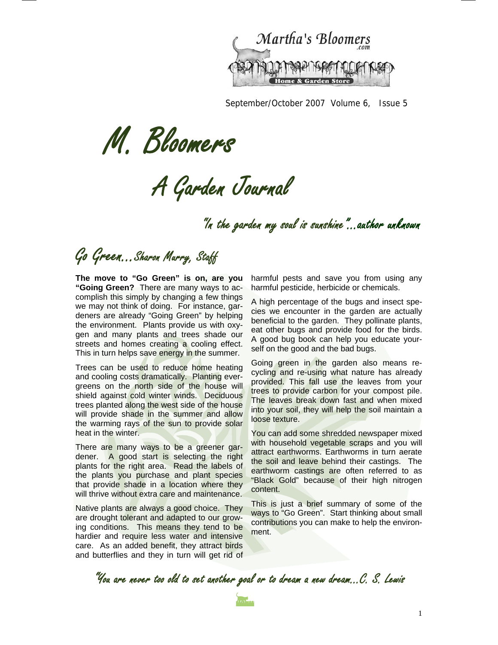

September/October 2007 Volume 6, Issue 5

M. Bloomers

A Garden Journal

"In the garden my soul is sunshine"...author unknown

Go Green...Sharon Murry, Staff

**The move to "Go Green" is on, are you "Going Green?** There are many ways to accomplish this simply by changing a few things we may not think of doing. For instance, gardeners are already "Going Green" by helping the environment. Plants provide us with oxygen and many plants and trees shade our streets and homes creating a cooling effect. This in turn helps save energy in the summer.

Trees can be used to reduce home heating and cooling costs dramatically. Planting evergreens on the north side of the house will shield against cold winter winds. Deciduous trees planted along the west side of the house will provide shade in the summer and allow the warming rays of the sun to provide solar heat in the winter.

There are many ways to be a greener gardener. A good start is selecting the right plants for the right area. Read the labels of the plants you purchase and plant species that provide shade in a location where they will thrive without extra care and maintenance.

Native plants are always a good choice. They are drought tolerant and adapted to our growing conditions. This means they tend to be hardier and require less water and intensive care. As an added benefit, they attract birds and butterflies and they in turn will get rid of harmful pests and save you from using any harmful pesticide, herbicide or chemicals.

A high percentage of the bugs and insect species we encounter in the garden are actually beneficial to the garden. They pollinate plants, eat other bugs and provide food for the birds. A good bug book can help you educate yourself on the good and the bad bugs.

Going green in the garden also means recycling and re-using what nature has already provided. This fall use the leaves from your trees to provide carbon for your compost pile. The leaves break down fast and when mixed into your soil, they will help the soil maintain a loose texture.

You can add some shredded newspaper mixed with household vegetable scraps and you will attract earthworms. Earthworms in turn aerate the soil and leave behind their castings. The earthworm castings are often referred to as "Black Gold" because of their high nitrogen content.

This is just a brief summary of some of the ways to "Go Green". Start thinking about small contributions you can make to help the environment.

"You are never too old to set another goal or to dream a new dream...C. S. Lewis

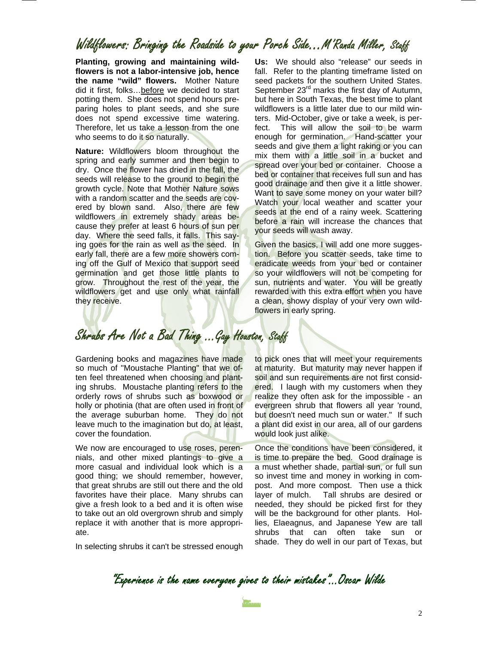## Wildflowers: Bringing the Roadside to your Porch Side...M'Randa Miller, Staff

**Planting, growing and maintaining wildflowers is not a labor-intensive job, hence the name "wild" flowers.** Mother Nature did it first, folks…before we decided to start potting them. She does not spend hours preparing holes to plant seeds, and she sure does not spend excessive time watering. Therefore, let us take a lesson from the one who seems to do it so naturally.

**Nature:** Wildflowers bloom throughout the spring and early summer and then begin to dry. Once the flower has dried in the fall, the seeds will release to the ground to begin the growth cycle. Note that Mother Nature sows with a random scatter and the seeds are covered by blown sand. Also, there are few wildflowers in extremely shady areas because they prefer at least 6 hours of sun per day. Where the seed falls, it falls. This saying goes for the rain as well as the seed. In early fall, there are a few more showers coming off the Gulf of Mexico that support seed germination and get those little plants to grow. Throughout the rest of the year, the wildflowers get and use only what rainfall they receive.

**Us:** We should also "release" our seeds in fall. Refer to the planting timeframe listed on seed packets for the southern United States. September  $23<sup>rd</sup>$  marks the first day of Autumn, but here in South Texas, the best time to plant wildflowers is a little later due to our mild winters. Mid-October, give or take a week, is perfect. This will allow the soil to be warm enough for germination. Hand-scatter your seeds and give them a light raking or you can mix them with a little soil in a bucket and spread over your bed or container. Choose a bed or container that receives full sun and has good drainage and then give it a little shower. Want to save some money on your water bill? Watch your local weather and scatter your seeds at the end of a rainy week. Scattering before a rain will increase the chances that your seeds will wash away.

Given the basics, I will add one more suggestion. Before you scatter seeds, take time to eradicate weeds from your bed or container so your wildflowers will not be competing for sun, nutrients and water. You will be greatly rewarded with this extra effort when you have a clean, showy display of your very own wildflowers in early spring.

# Shrubs Are Not a Bad Thing …Gay Houston, Staff

Gardening books and magazines have made so much of "Moustache Planting" that we often feel threatened when choosing and planting shrubs. Moustache planting refers to the orderly rows of shrubs such as boxwood or holly or photinia (that are often used in front of the average suburban home. They do not leave much to the imagination but do, at least, cover the foundation.

We now are encouraged to use roses, perennials, and other mixed plantings to give a more casual and individual look which is a good thing; we should remember, however, that great shrubs are still out there and the old favorites have their place. Many shrubs can give a fresh look to a bed and it is often wise to take out an old overgrown shrub and simply replace it with another that is more appropriate.

In selecting shrubs it can't be stressed enough

to pick ones that will meet your requirements at maturity. But maturity may never happen if soil and sun requirements are not first considered. I laugh with my customers when they realize they often ask for the impossible - an evergreen shrub that flowers all year 'round, but doesn't need much sun or water." If such a plant did exist in our area, all of our gardens would look just alike.

Once the conditions have been considered, it is time to prepare the bed. Good drainage is a must whether shade, partial sun, or full sun so invest time and money in working in compost. And more compost. Then use a thick layer of mulch. Tall shrubs are desired or needed, they should be picked first for they will be the background for other plants. Hollies, Elaeagnus, and Japanese Yew are tall shrubs that can often take sun or shade. They do well in our part of Texas, but

"Experience is the name everyone gives to their mistakes"...Oscar Wilde

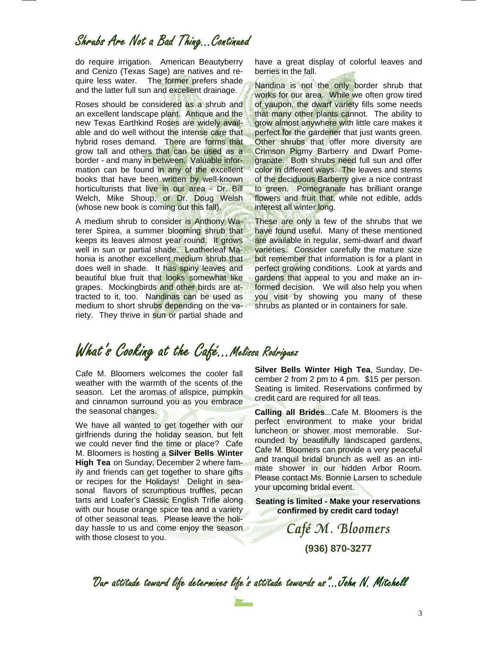### Shrubs Are Not a Bad Thing...Continued

do require irrigation. American Beautyberry and Cenizo (Texas Sage) are natives and require less water. The former prefers shade and the latter full sun and excellent drainage.

Roses should be considered as a shrub and an excellent landscape plant. Antique and the new Texas Earthkind Roses are widely available and do well without the intense care that hybrid roses demand. There are forms that grow tall and others that can be used as a border - and many in between. Valuable information can be found in any of the excellent books that have been written by well-known horticulturists that live in our area - Dr. Bill Welch, Mike Shoup, or Dr. Doug Welsh (whose new book is coming out this fall).

A medium shrub to consider is Anthony Waterer Spirea, a summer blooming shrub that keeps its leaves almost year round. It grows well in sun or partial shade. Leatherleaf Mahonia is another excellent medium shrub that does well in shade. It has spiny leaves and beautiful blue fruit that looks somewhat like grapes. Mockingbirds and other birds are attracted to it, too. Nandinas can be used as medium to short shrubs depending on the variety. They thrive in sun or partial shade and have a great display of colorful leaves and berries in the fall.

Nandina is not the only border shrub that works for our area. While we often grow tired of yaupon, the dwarf variety fills some needs that many other plants cannot. The ability to grow almost anywhere with little care makes it perfect for the gardener that just wants green. Other shrubs that offer more diversity are Crimson Pigmy Barberry and Dwarf Pomegranate. Both shrubs need full sun and offer color in different ways. The leaves and stems of the deciduous Barberry give a nice contrast to green. Pomegranate has brilliant orange flowers and fruit that, while not edible, adds interest all winter long.

These are only a few of the shrubs that we have found useful. Many of these mentioned are available in regular, semi-dwarf and dwarf varieties. Consider carefully the mature size but remember that information is for a plant in perfect growing conditions. Look at yards and gardens that appeal to you and make an informed decision. We will also help you when you visit by showing you many of these shrubs as planted or in containers for sale.

# What's Cooking at the Café…Melissa Rodriguez

Cafe M. Bloomers welcomes the cooler fall weather with the warmth of the scents of the season. Let the aromas of allspice, pumpkin and cinnamon surround you as you embrace the seasonal changes.

We have all wanted to get together with our girlfriends during the holiday season, but felt we could never find the time or place? Cafe M. Bloomers is hosting a **Silver Bells Winter High Tea** on Sunday, December 2 where family and friends can get together to share gifts or recipes for the Holidays! Delight in seasonal flavors of scrumptious truffles, pecan tarts and Loafer's Classic English Trifle along with our house orange spice tea and a variety of other seasonal teas. Please leave the holiday hassle to us and come enjoy the season with those closest to you.

**Silver Bells Winter High Tea**, Sunday, December 2 from 2 pm to 4 pm. \$15 per person. Seating is limited. Reservations confirmed by credit card are required for all teas.

**Calling all Brides**...Cafe M. Bloomers is the perfect environment to make your bridal luncheon or shower most memorable. Surrounded by beautifully landscaped gardens, Cafe M. Bloomers can provide a very peaceful and tranquil bridal brunch as well as an intimate shower in our hidden Arbor Room. Please contact Ms. Bonnie Larsen to schedule your upcoming bridal event.

**Seating is limited - Make your reservations confirmed by credit card today!** 

> Café M. Bloomers **(936) 870-3277**

"Our attitude toward life determines life's attitude towards us"...John N. Mitchell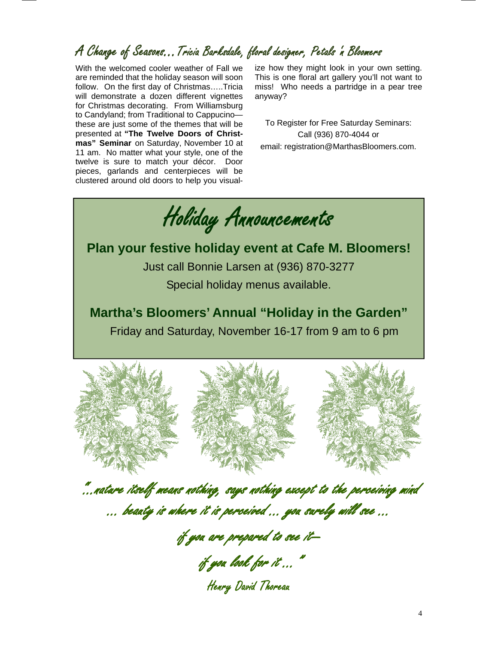## A Change of Seasons...Tricia Barksdale, floral designer, Petals 'n Bloomers

With the welcomed cooler weather of Fall we are reminded that the holiday season will soon follow. On the first day of Christmas…..Tricia will demonstrate a dozen different vignettes for Christmas decorating. From Williamsburg to Candyland; from Traditional to Cappucino these are just some of the themes that will be presented at **"The Twelve Doors of Christmas" Seminar** on Saturday, November 10 at 11 am. No matter what your style, one of the twelve is sure to match your décor. Door pieces, garlands and centerpieces will be clustered around old doors to help you visualize how they might look in your own setting. This is one floral art gallery you'll not want to miss! Who needs a partridge in a pear tree anyway?

To Register for Free Saturday Seminars: Call (936) 870-4044 or email: registration@MarthasBloomers.com.

Holiday Announcements

#### **Plan your festive holiday event at Cafe M. Bloomers!**

Just call Bonnie Larsen at (936) 870-3277 Special holiday menus available.

### **Martha's Bloomers' Annual "Holiday in the Garden"**

Friday and Saturday, November 16-17 from 9 am to 6 pm



 $\overset{\text{{\it n}}}{\ldots}$ natare itself means nothing, says nothing except to the perceiving mind … beauty is where it is perceived … you surely will see …

if you are prepared to see it—

if you look for it …"

Henry David Thoreau